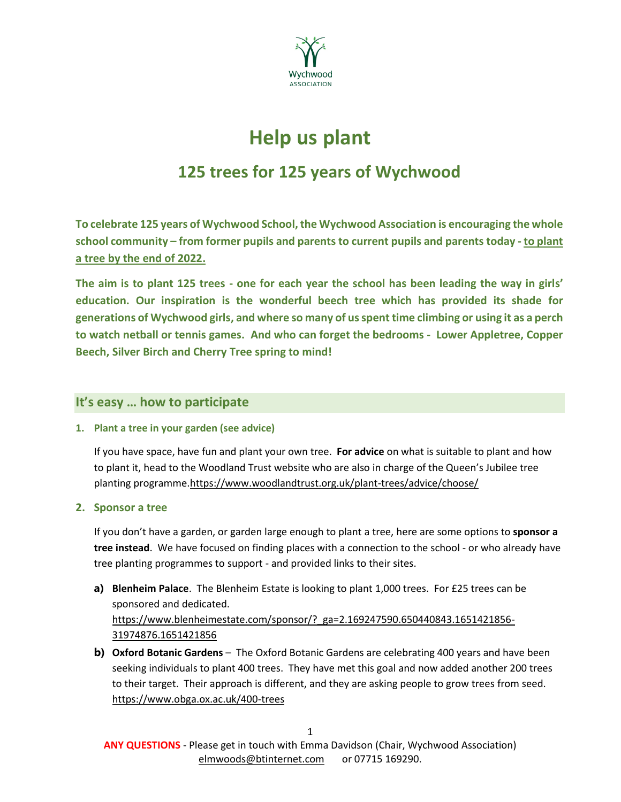

# **Help us plant**

## **125 trees for 125 years of Wychwood**

**To celebrate 125 years of Wychwood School, the Wychwood Association is encouraging the whole school community – from former pupils and parents to current pupils and parents today - to plant a tree by the end of 2022.**

**The aim is to plant 125 trees - one for each year the school has been leading the way in girls' education. Our inspiration is the wonderful beech tree which has provided its shade for generations of Wychwood girls, and where so many of us spent time climbing or using it as a perch to watch netball or tennis games. And who can forget the bedrooms - Lower Appletree, Copper Beech, Silver Birch and Cherry Tree spring to mind!**

#### **It's easy … how to participate**

#### **1. Plant a tree in your garden (see advice)**

If you have space, have fun and plant your own tree. **For advice** on what is suitable to plant and how to plant it, head to the Woodland Trust website who are also in charge of the Queen's Jubilee tree planting programme.https://www.woodlandtrust.org.uk/plant-trees/advice/choose/

**2. Sponsor a tree**

If you don't have a garden, or garden large enough to plant a tree, here are some options to **sponsor a tree instead**. We have focused on finding places with a connection to the school - or who already have tree planting programmes to support - and provided links to their sites.

- **a) Blenheim Palace**. The Blenheim Estate is looking to plant 1,000 trees. For £25 trees can be sponsored and dedicated. https://www.blenheimestate.com/sponsor/?\_ga=2.169247590.650440843.1651421856- 31974876.1651421856
- **b) Oxford Botanic Gardens** The Oxford Botanic Gardens are celebrating 400 years and have been seeking individuals to plant 400 trees. They have met this goal and now added another 200 trees to their target. Their approach is different, and they are asking people to grow trees from seed. https://www.obga.ox.ac.uk/400-trees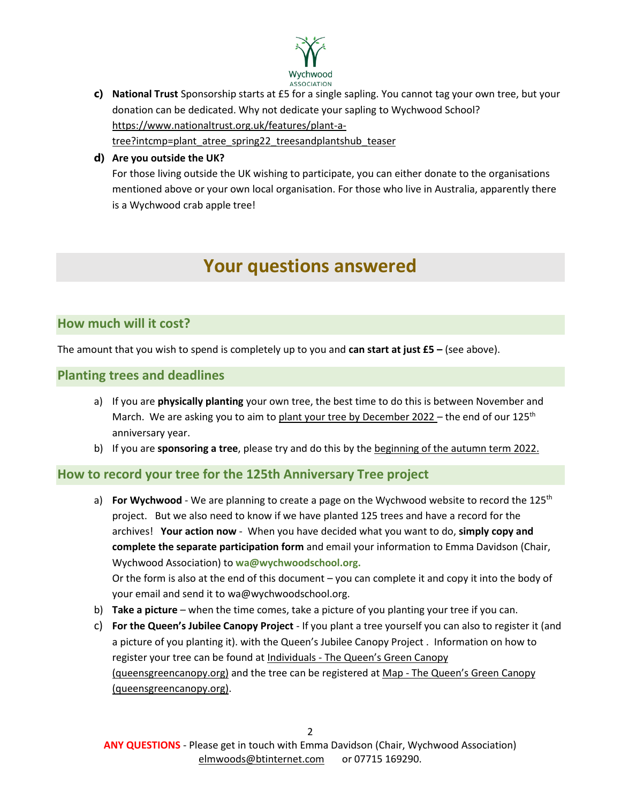

**c) National Trust** Sponsorship starts at £5 for a single sapling. You cannot tag your own tree, but your donation can be dedicated. Why not dedicate your sapling to Wychwood School? [https://www.nationaltrust.org.uk/features/plant-a](https://www.nationaltrust.org.uk/features/plant-a-tree?intcmp=plant_atree_spring22_treesandplantshub_teaser)[tree?intcmp=plant\\_atree\\_spring22\\_treesandplantshub\\_teaser](https://www.nationaltrust.org.uk/features/plant-a-tree?intcmp=plant_atree_spring22_treesandplantshub_teaser)

#### **d) Are you outside the UK?**

For those living outside the UK wishing to participate, you can either donate to the organisations mentioned above or your own local organisation. For those who live in Australia, apparently there is a Wychwood crab apple tree!

## **Your questions answered**

#### **How much will it cost?**

The amount that you wish to spend is completely up to you and **can start at just £5 –** (see above).

#### **Planting trees and deadlines**

- a) If you are **physically planting** your own tree, the best time to do this is between November and March. We are asking you to aim to plant your tree by December 2022 – the end of our 125<sup>th</sup> anniversary year.
- b) If you are **sponsoring a tree**, please try and do this by the beginning of the autumn term 2022.

#### **How to record your tree for the 125th Anniversary Tree project**

- a) **For Wychwood** We are planning to create a page on the Wychwood website to record the 125<sup>th</sup> project. But we also need to know if we have planted 125 trees and have a record for the archives! **Your action now** - When you have decided what you want to do, **simply copy and complete the separate participation form** and email your information to Emma Davidson (Chair, Wychwood Association) to **wa@wychwoodschool.org.** Or the form is also at the end of this document – you can complete it and copy it into the body of your email and send it to wa@wychwoodschool.org.
- b) **Take a picture**  when the time comes, take a picture of you planting your tree if you can.
- c) **For the Queen's Jubilee Canopy Project** If you plant a tree yourself you can also to register it (and a picture of you planting it). with the Queen's Jubilee Canopy Project . Information on how to register your tree can be found at Individuals - [The Queen's Green Canopy](https://queensgreencanopy.org/get-involved/individuals/)  [\(queensgreencanopy.org\)](https://queensgreencanopy.org/get-involved/individuals/) and the tree can be registered at Map - [The Queen's Green Canopy](https://queensgreencanopy.org/map-education-hub/qgc-map/#/)  [\(queensgreencanopy.org\).](https://queensgreencanopy.org/map-education-hub/qgc-map/#/)